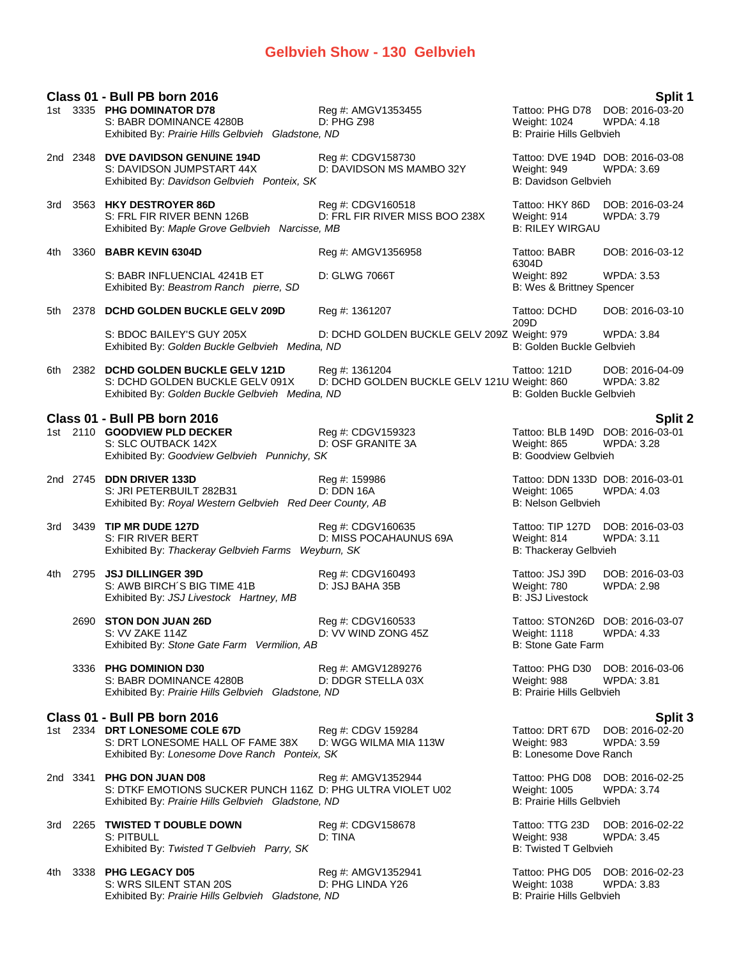# **Gelbvieh Show - 130 Gelbvieh**

|      |          | Class 01 - Bull PB born 2016                                                                                                         |                                                               |                                                                               | Split 1                              |
|------|----------|--------------------------------------------------------------------------------------------------------------------------------------|---------------------------------------------------------------|-------------------------------------------------------------------------------|--------------------------------------|
|      |          | 1st 3335 PHG DOMINATOR D78<br>S: BABR DOMINANCE 4280B<br>Exhibited By: Prairie Hills Gelbvieh Gladstone, ND                          | Reg #: AMGV1353455<br>D: PHG Z98                              | Tattoo: PHG D78 DOB: 2016-03-20<br>Weight: 1024<br>B: Prairie Hills Gelbvieh  | <b>WPDA: 4.18</b>                    |
|      |          | 2nd 2348 DVE DAVIDSON GENUINE 194D<br>S: DAVIDSON JUMPSTART 44X<br>Exhibited By: Davidson Gelbvieh Ponteix, SK                       | Reg #: CDGV158730<br>D: DAVIDSON MS MAMBO 32Y                 | Tattoo: DVE 194D DOB: 2016-03-08<br>Weight: 949<br>B: Davidson Gelbvieh       | <b>WPDA: 3.69</b>                    |
| 3rd  |          | 3563 HKY DESTROYER 86D<br>S: FRL FIR RIVER BENN 126B<br>Exhibited By: Maple Grove Gelbvieh Narcisse, MB                              | Reg #: CDGV160518<br>D: FRL FIR RIVER MISS BOO 238X           | Tattoo: HKY 86D<br>Weight: 914<br><b>B: RILEY WIRGAU</b>                      | DOB: 2016-03-24<br>WPDA: 3.79        |
| 4th  |          | 3360 BABR KEVIN 6304D                                                                                                                | Reg #: AMGV1356958                                            | Tattoo: BABR<br>6304D                                                         | DOB: 2016-03-12                      |
|      |          | S: BABR INFLUENCIAL 4241B ET<br>Exhibited By: Beastrom Ranch pierre, SD                                                              | D: GLWG 7066T                                                 | Weight: 892<br>B: Wes & Brittney Spencer                                      | <b>WPDA: 3.53</b>                    |
| 5th  |          | 2378 DCHD GOLDEN BUCKLE GELV 209D                                                                                                    | Reg #: 1361207                                                | Tattoo: DCHD<br>209D                                                          | DOB: 2016-03-10                      |
|      |          | S: BDOC BAILEY'S GUY 205X<br>Exhibited By: Golden Buckle Gelbvieh Medina, ND                                                         | D: DCHD GOLDEN BUCKLE GELV 209Z Weight: 979                   | B: Golden Buckle Gelbvieh                                                     | <b>WPDA: 3.84</b>                    |
| 6th  |          | 2382 DCHD GOLDEN BUCKLE GELV 121D<br>S: DCHD GOLDEN BUCKLE GELV 091X<br>Exhibited By: Golden Buckle Gelbvieh Medina, ND              | Reg #: 1361204<br>D: DCHD GOLDEN BUCKLE GELV 121U Weight: 860 | Tattoo: 121D<br>B: Golden Buckle Gelbvieh                                     | DOB: 2016-04-09<br><b>WPDA: 3.82</b> |
|      |          | Class 01 - Bull PB born 2016                                                                                                         |                                                               |                                                                               | <b>Split 2</b>                       |
|      |          | 1st 2110 GOODVIEW PLD DECKER<br>S: SLC OUTBACK 142X<br>Exhibited By: Goodview Gelbvieh Punnichy, SK                                  | Reg #: CDGV159323<br>D: OSF GRANITE 3A                        | Tattoo: BLB 149D DOB: 2016-03-01<br>Weight: 865<br>B: Goodview Gelbvieh       | <b>WPDA: 3.28</b>                    |
|      |          | 2nd 2745 DDN DRIVER 133D<br>S: JRI PETERBUILT 282B31<br>Exhibited By: Royal Western Gelbvieh Red Deer County, AB                     | Reg #: 159986<br>D: DDN 16A                                   | Tattoo: DDN 133D DOB: 2016-03-01<br>Weight: 1065<br><b>B: Nelson Gelbvieh</b> | <b>WPDA: 4.03</b>                    |
|      | 3rd 3439 | <b>TIP MR DUDE 127D</b><br>S: FIR RIVER BERT<br>Exhibited By: Thackeray Gelbvieh Farms Weyburn, SK                                   | Reg #: CDGV160635<br>D: MISS POCAHAUNUS 69A                   | Tattoo: TIP 127D<br>Weight: 814<br><b>B: Thackeray Gelbvieh</b>               | DOB: 2016-03-03<br>WPDA: 3.11        |
|      | 4th 2795 | JSJ DILLINGER 39D<br>S: AWB BIRCH'S BIG TIME 41B<br>Exhibited By: JSJ Livestock Hartney, MB                                          | Reg #: CDGV160493<br>D: JSJ BAHA 35B                          | Tattoo: JSJ 39D<br>Weight: 780<br><b>B: JSJ Livestock</b>                     | DOB: 2016-03-03<br><b>WPDA: 2.98</b> |
|      |          | 2690 STON DON JUAN 26D<br>S: VV ZAKE 114Z<br>Exhibited By: Stone Gate Farm Vermilion, AB                                             | Reg #: CDGV160533<br>D: VV WIND ZONG 45Z                      | Tattoo: STON26D DOB: 2016-03-07<br>Weight: 1118<br><b>B: Stone Gate Farm</b>  | WPDA: 4.33                           |
|      |          | 3336 PHG DOMINION D30<br>S: BABR DOMINANCE 4280B<br>Exhibited By: Prairie Hills Gelbvieh Gladstone, ND                               | Reg #: AMGV1289276<br>D: DDGR STELLA 03X                      | Tattoo: PHG D30 DOB: 2016-03-06<br>Weight: 988<br>B: Prairie Hills Gelbvieh   | <b>WPDA: 3.81</b>                    |
|      |          | Class 01 - Bull PB born 2016                                                                                                         |                                                               |                                                                               | Split 3                              |
|      |          | 1st 2334 DRT LONESOME COLE 67D<br>S: DRT LONESOME HALL OF FAME 38X<br>Exhibited By: Lonesome Dove Ranch Ponteix, SK                  | Reg #: CDGV 159284<br>D: WGG WILMA MIA 113W                   | Tattoo: DRT 67D<br>Weight: 983<br>B: Lonesome Dove Ranch                      | DOB: 2016-02-20<br><b>WPDA: 3.59</b> |
|      | 2nd 3341 | PHG DON JUAN D08<br>S: DTKF EMOTIONS SUCKER PUNCH 116Z D: PHG ULTRA VIOLET U02<br>Exhibited By: Prairie Hills Gelbvieh Gladstone, ND | Reg #: AMGV1352944                                            | Tattoo: PHG D08<br><b>Weight: 1005</b><br><b>B: Prairie Hills Gelbvieh</b>    | DOB: 2016-02-25<br><b>WPDA: 3.74</b> |
| 3rd  |          | 2265 TWISTED T DOUBLE DOWN<br>S: PITBULL<br>Exhibited By: Twisted T Gelbvieh Parry, SK                                               | Reg #: CDGV158678<br>D: TINA                                  | Tattoo: TTG 23D<br>Weight: 938<br><b>B: Twisted T Gelbvieh</b>                | DOB: 2016-02-22<br><b>WPDA: 3.45</b> |
| 4th. |          | 3338 PHG LEGACY D05<br>S: WRS SILENT STAN 20S<br>Exhibited By: Prairie Hills Gelbvieh Gladstone, ND                                  | Reg #: AMGV1352941<br>D: PHG LINDA Y26                        | Tattoo: PHG D05<br>Weight: 1038<br>B: Prairie Hills Gelbvieh                  | DOB: 2016-02-23<br><b>WPDA: 3.83</b> |

Exhibited By: Prairie Hills Gelbvieh Gladstone, ND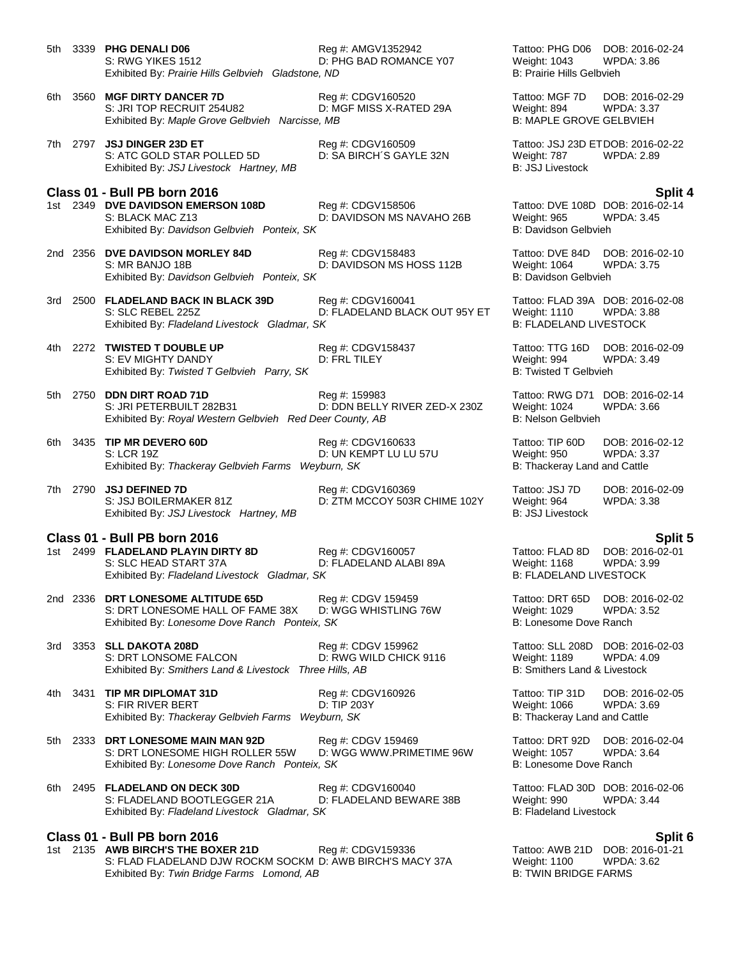- 5th 3339 **PHG DENALI D06** Reg #: AMGV1352942 Tattoo: PHG D06 DOB: 2016-02-24<br>S: RWG YIKES 1512 D: PHG BAD ROMANCE Y07 Weight: 1043 WPDA: 3.86 S: RWG YIKES 1512 **D: PHG BAD ROMANCE Y07** Weight: 1043 Exhibited By: *Prairie Hills Gelbvieh Gladstone, ND* B: Prairie Hills Gelbvieh 6th 3560 **MGF DIRTY DANCER 7D** Reg #: CDGV160520 Tattoo: MGF 7D DOB: 2016-02-29 S: JRI TOP RECRUIT 254U82 D: MGF MISS X-RATED 29A Weight: 894 WPDA: 3.37 Exhibited By: *Maple Grove Gelbvieh Narcisse, MB* B: MAPLE GROVE GELBVIEH 7th 2797 **JSJ DINGER 23D ET** Reg #: CDGV160509 Tattoo: JSJ 23D ETDOB: 2016-02-22 S: ATC GOLD STAR POLLED 5D D: SA BIRCH´S GAYLE 32N Weight: 787 WPDA: 2.89<br>
Exhibited By: JSJ Livestock Hartney, MB B: JSJ Livestock Exhibited By: JSJ Livestock Hartney, MB **Class 01 - Bull PB born 2016 Split 4** 1st 2349 **DVE DAVIDSON EMERSON 108D** Reg #: CDGV158506 Tattoo: DVE 108D DOB: 2016-02-14<br>S: BLACK MAC Z13 D: DAVIDSON MS NAVAHO 26B Weight: 965 WPDA: 3.45 D: DAVIDSON MS NAVAHO 26B Exhibited By: *Davidson Gelbvieh Ponteix, SK* B: Davidson Gelbvieh B: Davidson Gelbvieh 2nd 2356 **DVE DAVIDSON MORLEY 84D** Reg #: CDGV158483 Tattoo: DVE 84D DOB: 2016-02-10 D: DAVIDSON MS HOSS 112B Exhibited By: *Davidson Gelbvieh Ponteix, SK* B: Davidson Gelbvieh B: Davidson Gelbvieh 3rd 2500 **FLADELAND BACK IN BLACK 39D** Reg #: CDGV160041 Tattoo: FLAD 39A DOB: 2016-02-08 S: SLC REBEL 225Z D: FLADELAND BLACK OUT 95Y ET Weight: 1110 WPDA: 3.88 Exhibited By: Fladeland Livestock Gladmar, SK 4th 2272 **TWISTED T DOUBLE UP** Reg #: CDGV158437 Tattoo: TTG 16D DOB: 2016-02-09<br>S: EV MIGHTY DANDY D: FRL TILEY DIE RESON Meight: 994 WPDA: 3.49 S: EV MIGHTY DANDY **D: FRL TILEY** CHECK MIGHTY DANDY **D: FRL TILEY Weight: 994** WIERHILLEY **WE**: 394 WIERHILLEY Exhibited By: Twisted T Gelbvieh Parry, SK 5th 2750 **DDN DIRT ROAD 71D Reg #: 159983** Tattoo: RWG D71 DOB: 2016-02-14<br>S: JRI PETERBUILT 282B31 D: DDN BELLY RIVER ZED-X 230Z Weight: 1024 WPDA: 3.66 S: JRI PETERBUILT 282B31 D: DDN BELLY RIVER ZED-X 230Z Weight: 1024 Exhibited By: *Royal Western Gelbvieh Red Deer County, AB* B: Nelson Gelbvieh 6th 3435 **TIP MR DEVERO 60D** Reg #: CDGV160633 Tattoo: TIP 60D DOB: 2016-02-12 S: LCR 19Z D: UN KEMPT LU LU 57U Weight: 950 WPDA: 3.37 Exhibited By: *Thackeray Gelbvieh Farms Weyburn, SK* B: Thackeray Land and Cattle 7th 2790 **JSJ DEFINED 7D** Reg #: CDGV160369 Tattoo: JSJ 7D DOB: 2016-02-09 S: JSJ BOILERMAKER 81Z D: ZTM MCCOY 503R CHIME 102Y Weight: 964 WPDA: 3.38 Exhibited By: *JSJ Livestock Hartney, MB* B: *JSJ Livestock* **B**: *JSJ Livestock* **Class 01 - Bull PB born 2016 Split 5** 1st 2499 **FLADELAND PLAYIN DIRTY 8D** Reg #: CDGV160057 **Tattoo: FLAD 8D** DOB: 2016-02-01<br>S: SLC HEAD START 37A D: FLADELAND ALABI 89A Weight: 1168 WPDA: 3.99 S: SLC HEAD START 37A D: FLADELAND ALABI 89A Weight: 1168 WPDA: 3.99 Exhibited By: Fladeland Livestock Gladmar, SK 2nd 2336 **DRT LONESOME ALTITUDE 65D** Reg #: CDGV 159459 Tattoo: DRT 65D DOB: 2016-02-02 S: DRT LONESOME HALL OF FAME 38X Exhibited By: *Lonesome Dove Ranch Ponteix, SK* B: Lonesome Dove Ranch Ponteix, SK 3rd 3353 **SLL DAKOTA 208D** Reg #: CDGV 159962 Tattoo: SLL 208D DOB: 2016-02-03<br>S: DRT LONSOME FALCON D: RWG WILD CHICK 9116 Weight: 1189 WPDA: 4.09 S: DRT LONSOME FALCON Exhibited By: *Smithers Land & Livestock Three Hills, AB* B: Smithers Land & Livestock 4th 3431 **TIP MR DIPLOMAT 31D** Req #: CDGV160926 Tattoo: TIP 31D DOB: 2016-02-05 S: FIR RIVER BERT **D: TIP 203Y** D: TIP 203Y Meight: 1066 WPDA: 3.69<br>Exhibited By: *Thackeray Gelbvieh Farms Weyburn, SK* B: Thackeray Land and Cattle Exhibited By: Thackeray Gelbvieh Farms Weyburn, SK 5th 2333 **DRT LONESOME MAIN MAN 92D** Reg #: CDGV 159469 Tattoo: DRT 92D DOB: 2016-02-04 S: DRT LONESOME HIGH ROLLER 55W D: WGG WWW.PRIMETIME 96W Weight: 1057 WPDA: 3.64 Exhibited By: Lonesome Dove Ranch Ponteix, SK B: Lonesome Dove Ranch 6th 2495 **FLADELAND ON DECK 30D** Reg #: CDGV160040 Tattoo: FLAD 30D DOB: 2016-02-06
- S: FLADELAND BOOTLEGGER 21A D: FLADELAND BEWARE 38B Weight: 990 WPDA: 3.44 Exhibited By: Fladeland Livestock Gladmar, SK B: Fladeland Livestock B: Fladeland Livestock

### **Class 01 - Bull PB born 2016 Split 6**

1st 2135 **AWB BIRCH'S THE BOXER 21D** Reg #: CDGV159336 Tattoo: AWB 21D DOB: 2016-01-21 S: FLAD FLADELAND DJW ROCKM SOCKM D: AWB BIRCH'S MACY 37A Weight: 1100 WPDA: 3.62<br>Exhibited By: Twin Bridge Farms Lomond, AB B: TWIN BRIDGE FARMS Exhibited By: Twin Bridge Farms Lomond, AB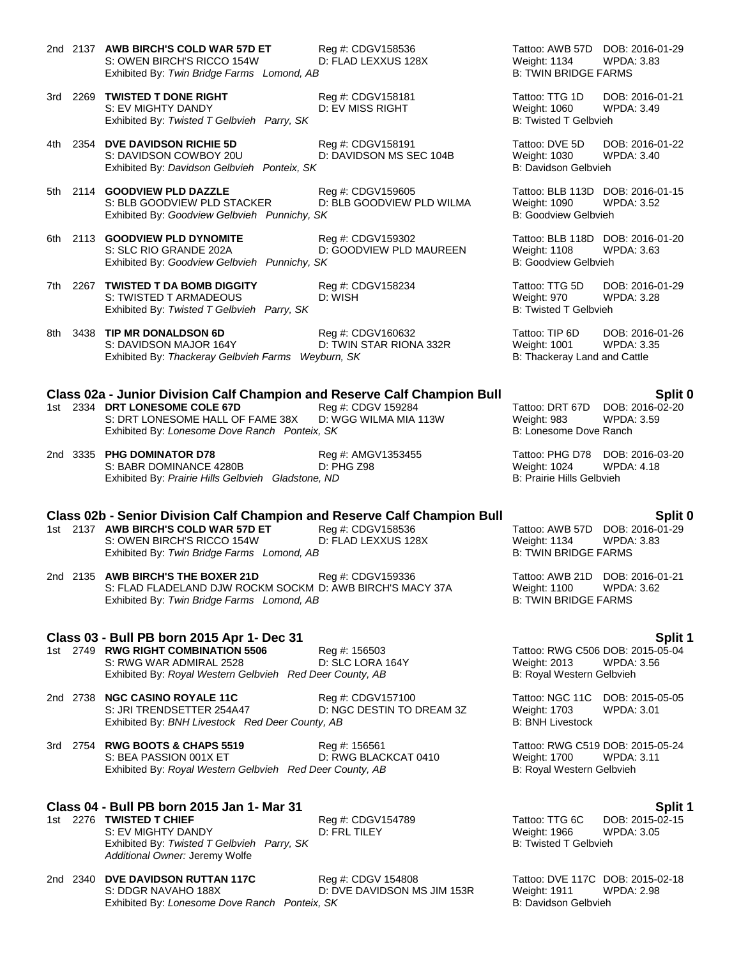- 2nd 2137 **AWB BIRCH'S COLD WAR 57D ET** Reg #: CDGV158536 Tattoo: AWB 57D DOB: 2016-01-29<br>S: OWEN BIRCH'S RICCO 154W D: FLAD LEXXUS 128X Weight: 1134 WPDA: 3.83 S: OWEN BIRCH'S RICCO 154W D: FLAD LEXXUS 128X Weight: 1134 WPDA<br>Exhibited By: Twin Bridge Farms Lomond, AB B: TWIN BRIDGE FARMS Exhibited By: Twin Bridge Farms Lomond, AB
- 3rd 2269 **TWISTED T DONE RIGHT** Reg #: CDGV158181 Reg Trattoo: TTG 1D DOB: 2016-01-21<br>S: EV MIGHTY DANDY D: EV MISS RIGHT Weight: 1060 WPDA: 3.49 S: EV MIGHTY DANDY **DELLACT CONTAINS DE SEV MISS RIGHT** Weight: 1060 Exhibited By: Twisted T Gelbvieh Parry, SK B: Twisted T Gelbvieh Parry, SK B: Twisted T Gelbvieh
- 4th 2354 **DVE DAVIDSON RICHIE 5D** Reg #: CDGV158191 Tattoo: DVE 5D DOB: 2016-01-22 S: DAVIDSON COWBOY 20U D: DAVIDSON MS SEC 104B Weight: 1030 WPDA: 3.40 Exhibited By: *Davidson Gelbvieh Ponteix, SK* B: Davidson Gelbvieh B: Davidson Gelbvieh
- 5th 2114 **GOODVIEW PLD DAZZLE** Reg #: CDGV159605 Tattoo: BLB 113D DOB: 2016-01-15 S: BLB GOODVIEW PLD STACKER D: BLB GOODVIEW PLD WILMA Weight: 1090 WPDA: 3.52<br>Exhibited By: Goodview Gelbvieh Punnichy, SK B: Goodview Gelbvieh Exhibited By: Goodview Gelbvieh Punnichy, SK
- 6th 2113 **GOODVIEW PLD DYNOMITE** Reg #: CDGV159302 Tattoo: BLB 118D DOB: 2016-01-20<br>S: SLC RIO GRANDE 202A D: GOODVIEW PLD MAUREEN Weight: 1108 WPDA: 3.63 Exhibited By: Goodview Gelbvieh Punnichy, SK
- 7th 2267 **TWISTED T DA BOMB DIGGITY** Reg #: CDGV158234 Tattoo: TTG 5D DOB: 2016-01-29 S: TWISTED T ARMADEOUS Exhibited By: Twisted T Gelbvieh Parry, SK B: Twisted T Gelbvieh
- 8th 3438 **TIP MR DONALDSON 6D** Reg #: CDGV160632 Tattoo: TIP 6D DOB: 2016-01-26<br>S: DAVIDSON MAJOR 164Y D: TWIN STAR RIONA 332R Weight: 1001 WPDA: 3.35 D: TWIN STAR RIONA 332R Exhibited By: Thackeray Gelbvieh Farms Weyburn, SK B: Thackeray Land and Cattle

# **Class 02a - Junior Division Calf Champion and Reserve Calf Champion Bull Split 0**

- 1st 2334 **DRT LONESOME COLE 67D** Reg #: CDGV 159284 Tattoo: DRT 67D DOB: 2016-02-20<br>S: DRT LONESOME HALL OF FAME 38X D: WGG WILMA MIA 113W Weight: 983 WPDA: 3.59 S: DRT LONESOME HALL OF FAME 38X D: WGG WILMA MIA 113W Weight: 983 WPDA<br>Exhibited By: Lonesome Dove Ranch Ponteix, SK B: Lonesome Dove Ranch Exhibited By: *Lonesome Dove Ranch Ponteix, SK*
- 2nd 3335 **PHG DOMINATOR D78** Reg #: AMGV1353455 Tattoo: PHG D78 DOB: 2016-03-20<br>S: BABR DOMINANCE 4280B D: PHG Z98 D: PHG 298 Weight: 1024 WPDA: 4.18 S: BABR DOMINANCE 4280B D: PHG Z98 Weight: 1024 WPI<br>Exhibited By: *Prairie Hills Gelbvieh Gladstone. ND* B: Prairie Hills Gelbvieh Exhibited By: Prairie Hills Gelbvieh Gladstone, ND

### **Class 02b - Senior Division Calf Champion and Reserve Calf Champion Bull Split 0**

- 1st 2137 **AWB BIRCH'S COLD WAR 57D ET** Reg #: CDGV158536 Tattoo: AWB 57D DOB: 2016-01-29<br>S: OWEN BIRCH'S RICCO 154W D: FLAD LEXXUS 128X Weight: 1134 WPDA: 3.83 S: OWEN BIRCH'S RICCO 154W D: FLAD LEXXUS 128X Weight: 1134 Exhibited By: Twin Bridge Farms Lomond, AB B: TWIN BRIDGE FARMS
- 2nd 2135 **AWB BIRCH'S THE BOXER 21D** Reg #: CDGV159336 Tattoo: AWB 21D DOB: 2016-01-21<br>S: FLAD FLADELAND DJW ROCKM SOCKM D: AWB BIRCH'S MACY 37A Weight: 1100 WPDA: 3.62 S: FLAD FLADELAND DJW ROCKM SOCKM D: AWB BIRCH'S MACY 37A Weight: 1100 Exhibited By: *Twin Bridge Farms Lomond, AB* B: TWIN BRIDGE FARMS

### **Class 03 - Bull PB born 2015 Apr 1- Dec 31 Split 1**

- 1st 2749 **RWG RIGHT COMBINATION 5506** Reg #: 156503 Tattoo: RWG C506 DOB: 2015-05-04 S: RWG WAR ADMIRAL 2528 D: SLC LORA 164Y Weight: 2013 WPDA: 3.56 Exhibited By: *Royal Western Gelbvieh Red Deer County, AB* B: Royal Western Gelbvieh
- 2nd 2738 **NGC CASINO ROYALE 11C** Reg #: CDGV157100 Tattoo: NGC 11C DOB: 2015-05-05 S: JRI TRENDSETTER 254A47 D: NGC DESTIN TO DREAM 3Z Weight: 1703 Exhibited By: *BNH Livestock Red Deer County, AB* B: BNH Livestock B: BNH Livestock
- 3rd 2754 **RWG BOOTS & CHAPS 5519** Reg #: 156561 Research 2754 **RWG C519 DOB: 2015-05-24**<br>S: BEA PASSION 001X ET D: RWG BLACKCAT 0410 Weight: 1700 WPDA: 3.11 D: RWG BLACKCAT 0410 Exhibited By: *Royal Western Gelbvieh Red Deer County, AB* B: Royal Western Gelbvieh

### **Class 04 - Bull PB born 2015 Jan 1- Mar 31 Split 1**

1st 2276 **TWISTED T CHIEF** Reg #: CDGV154789 Tattoo: TTG 6C DOB: 2015-02-15 S: EV MIGHTY DANDY **Dight: 1966** WIS D: FRL TILEY Weight: 1966 WILES WEIGHT WILL BOTT DIGHT OF DIGHT OF DIGHT O<br>Exhibited By: *Twisted T Gelbyieh Parry. SK* B: Twisted T Gelbyieh Exhibited By: Twisted T Gelbvieh Parry, SK *Additional Owner:* Jeremy Wolfe

2nd 2340 **DVE DAVIDSON RUTTAN 117C** Reg #: CDGV 154808 Tattoo: DVE 117C DOB: 2015-02-18<br>S: DDGR NAVAHO 188X D: DVE DAVIDSON MS JIM 153R Weight: 1911 WPDA: 2.98 D: DVE DAVIDSON MS JIM 153R Exhibited By: *Lonesome Dove Ranch Ponteix, SK* B: Davidson Gelbvieh

D: GOODVIEW PLD MAUREEN Weight: 1108 WIER<br>SK B: Goodview Gelbvieh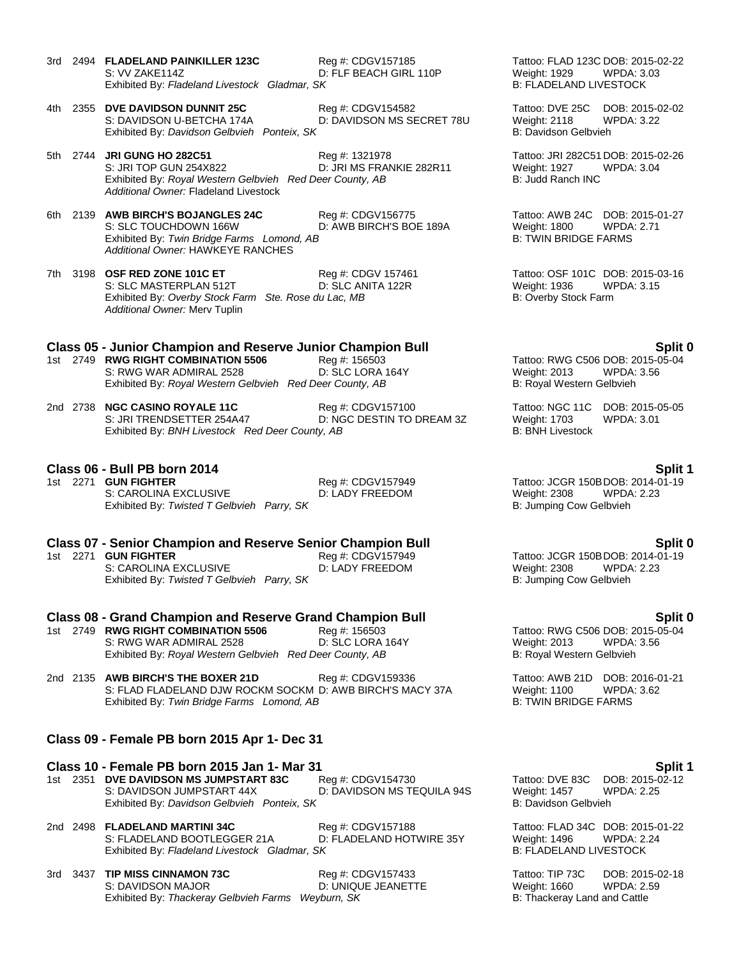- 3rd 2494 **FLADELAND PAINKILLER 123C** Reg #: CDGV157185 Tattoo: FLAD 123C DOB: 2015-02-22 S: VV ZAKE114Z D: FLF BEACH GIRL 110P Weight: 1929 WPDA: 3.03 Exhibited By: Fladeland Livestock Gladmar, SK
- 4th 2355 **DVE DAVIDSON DUNNIT 25C** Reg #: CDGV154582 Tattoo: DVE 25C DOB: 2015-02-02 S: DAVIDSON U-BETCHA 174A D: DAVIDSON MS SECRET 78U Weight: 2118 WPDA: 3.22 Exhibited By: *Davidson Gelbvieh Ponteix, SK* B: Davidson Gelbvieh B: Davidson Gelbvieh
- 5th 2744 **JRI GUNG HO 282C51** Reg #: 1321978 Tattoo: JRI 282C51 DOB: 2015-02-26 S: JRI TOP GUN 254X822 D: JRI MS FRANKIE 282R11 Weight: 1927 WPDA: 3.04 Exhibited By: *Royal Western Gelbvieh Red Deer County, AB* B: Judd Ranch INC *Additional Owner:* Fladeland Livestock
- 6th 2139 **AWB BIRCH'S BOJANGLES 24C** Reg #: CDGV156775 Tattoo: AWB 24C DOB: 2015-01-27 S: SLC TOUCHDOWN 166W D: AWB BIRCH'S BOE 189A Weight: 1800 WPDA: 2.71 Exhibited By: Twin Bridge Farms Lomond, AB Exhibited By: Twin Bridge Farms Lomond, AB *Additional Owner:* HAWKEYE RANCHES
- 7th 3198 **OSF RED ZONE 101C ET** Reg #: CDGV 157461 Tattoo: OSF 101C DOB: 2015-03-16<br>S: SLC MASTERPLAN 512T D: SLC ANITA 122R Weight: 1936 WPDA: 3.15 S: SLC MASTERPLAN 512T D: SLC ANITA 122R Weight: 1936 WIERhibited By: Overby Stock Farm Ste. Rose du Lac, MB Stock Parm B: Overby Stock Farm Exhibited By: Overby Stock Farm Ste. Rose du Lac, MB *Additional Owner:* Merv Tuplin

### **Class 05 - Junior Champion and Reserve Junior Champion Bull Split 0**

- 1st 2749 **RWG RIGHT COMBINATION 5506** Reg #: 156503 Tattoo: RWG C506 DOB: 2015-05-04 S: RWG WAR ADMIRAL 2528 D: SLC LORA 164Y DIESER Weight: 2013 Exhibited By: *Royal Western Gelbvieh Red Deer County, AB* B: Royal Western Gelbvieh
- 2nd 2738 **NGC CASINO ROYALE 11C** Reg #: CDGV157100 Tattoo: NGC 11C DOB: 2015-05-05 D: NGC DESTIN TO DREAM 3Z Weight: 1703<br>tv. AB B: BNH Livestock Exhibited By: *BNH Livestock Red Deer County, AB*

### **Class 06 - Bull PB born 2014 Split 1**

1st 2271 **GUN FIGHTER** Reg #: CDGV157949 Tattoo: JCGR 150BDOB: 2014-01-19<br>S: CAROLINA EXCLUSIVE D: LADY FREEDOM Weight: 2308 WPDA: 2.23 S: CAROLINA EXCLUSIVE D: LADY FREEDOM Weight: 2308 WPDA: 2.23<br>
Exhibited By: Twisted T Gelbvieh Parry, SK B: Jumping Cow Gelbvieh Exhibited By: Twisted T Gelbvieh Parry, SK

# **Class 07 - Senior Champion and Reserve Senior Champion Bull <b>Split 0**<br>1st 2271 GUN FIGHTER **Req #: CDGV157949 Split 0** Tattoo: JCGR 150BDOB: 2014-01-19

S: CAROLINA EXCLUSIVE D: LADY FREEDOM Weight: 2308 WPDA: 2.23 Exhibited By: *Twisted T Gelbvieh Parry, SK* B: Jumping Cow Gelbvieh

# **Class 08 - Grand Champion and Reserve Grand Champion Bull Split 0**<br>1st 2749 RWG RIGHT COMBINATION 5506 Req #: 156503 Tattoo: RWG C506 DOB: 2015-05-04

- 1st 2749 **RWG RIGHT COMBINATION 5506** Reg #: 156503<br>S: RWG WAR ADMIRAL 2528 D: SLC LORA 164Y S: RWG WAR ADMIRAL 2528 D: SLC LORA 164Y Weight: 2013 WPDA: 3.56 Exhibited By: *Royal Western Gelbvieh Red Deer County, AB* B: Royal Western Gelbvieh
- 2nd 2135 **AWB BIRCH'S THE BOXER 21D** Reg #: CDGV159336 Tattoo: AWB 21D DOB: 2016-01-21 S: FLAD FLADELAND DJW ROCKM SOCKM D: AWB BIRCH'S MACY 37A Weight: 1100 WPDA: 3.62 Exhibited By: *Twin Bridge Farms Lomond, AB* B: TWIN BRIDGE FARMS

### **Class 09 - Female PB born 2015 Apr 1- Dec 31**

**Class 10 - Female PB born 2015 Jan 1- Mar 31 Split 1** 1st 2351 **DVE DAVIDSON MS JUMPSTART 83C** Reg #: CDGV154730 S: DAVIDSON JUMPSTART 44X D: DAVIDSON MS TEQUILA 94S Weight: 1457 WPDA: 2.25 Exhibited By: *Davidson Gelbvieh Ponteix, SK* B: Davidson Gelbvieh Bisman Bisman Bisman Bisman Bisman Bisman Gelbvieh

2nd 2498 **FLADELAND MARTINI 34C** Reg #: CDGV157188 Tattoo: FLAD 34C DOB: 2015-01-22 S: FLADELAND BOOTLEGGER 21A D: FLADELAND HOTWIRE 35Y Weight: 1496 WPDA: 2.24 Exhibited By: *Fladeland Livestock Gladmar, SK* B: FLADELAND LIVESTOCK

3rd 3437 **TIP MISS CINNAMON 73C** Reg #: CDGV157433 Tattoo: TIP 73C DOB: 2015-02-18 S: DAVIDSON MAJOR D: UNIQUE JEANETTE Weight: 1660 WPDA: 2.59 Exhibited By: *Thackeray Gelbvieh Farms Weyburn, SK* B: Thackeray Land and Cattle

1st 2271 **GUN FIGHTER** Reg #: CDGV157949 Tattoo: JCGR 150BDOB: 2014-01-19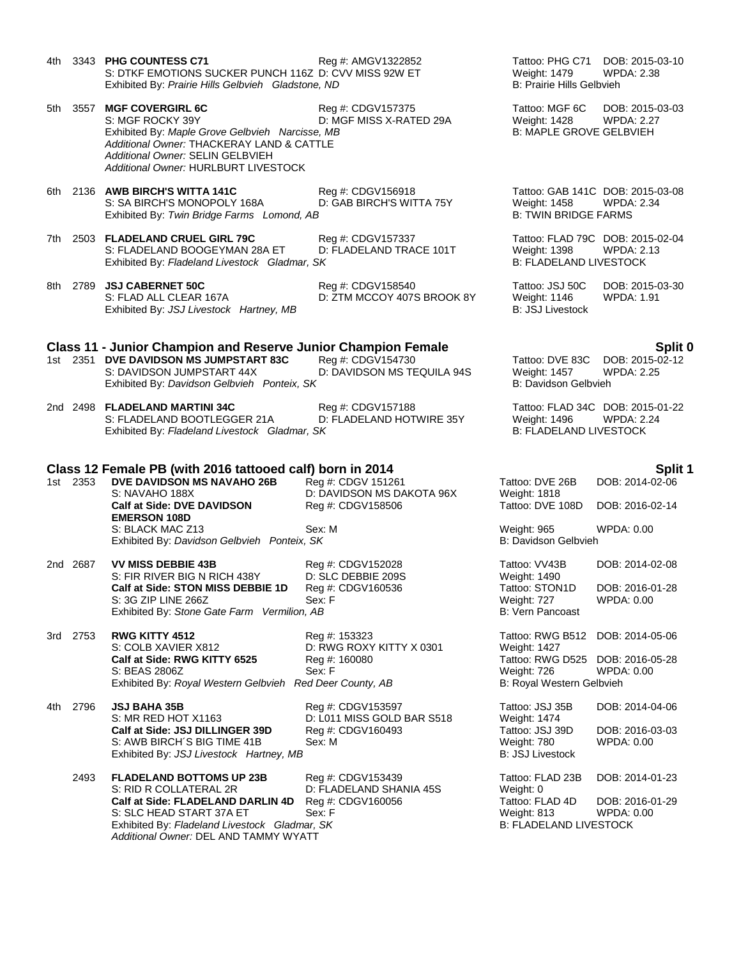- 4th 3343 **PHG COUNTESS C71** Reg #: AMGV1322852 Tattoo: PHG C71 DOB: 2015-03-10 S: DTKF EMOTIONS SUCKER PUNCH 116Z D: CVV MISS 92W ET Weight: 1479 WPDA: 2.38<br>Exhibited Bv: Prairie Hills Gelbvieh Gladstone, ND B: Prairie Hills Gelbvieh Exhibited By: Prairie Hills Gelbvieh Gladstone, ND
- 5th 3557 **MGF COVERGIRL 6C** Reg #: CDGV157375 Tattoo: MGF 6C DOB: 2015-03-03 S: MGF ROCKY 39Y **D: MGF MISS X-RATED 29A** Weight: 1428 WPDA: 2.27 Exhibited By: *Maple Grove Gelbvieh Narcisse, MB* B: MAPLE GROVE GELBVIEH *Additional Owner:* THACKERAY LAND & CATTLE *Additional Owner:* SELIN GELBVIEH *Additional Owner:* HURLBURT LIVESTOCK
- 6th 2136 **AWB BIRCH'S WITTA 141C** Reg #: CDGV156918 Tattoo: GAB 141C DOB: 2015-03-08 S: SA BIRCH'S MONOPOLY 168A D: GAB BIRCH'S WITTA 75Y Weight: 1458 WPDA: 2.34<br>Exhibited By: Twin Bridge Farms Lomond, AB B: TWIN BRIDGE FARMS Exhibited By: Twin Bridge Farms Lomond, AB
- 7th 2503 **FLADELAND CRUEL GIRL 79C** Reg #: CDGV157337 Tattoo: FLAD 79C DOB: 2015-02-04<br>S: FLADELAND BOOGEYMAN 28A ET D: FLADELAND TRACE 101T Weight: 1398 WPDA: 2.13 S: FLADELAND BOOGEYMAN 28A ET D: FLADELAND TRACE 101T Weight: 1398 WPDA: 2.<br>Exhibited By: Fladeland Livestock Gladmar. SK B: FLADELAND LIVESTOCK Exhibited By: Fladeland Livestock Gladmar, SK
- 8th 2789 **JSJ CABERNET 50C** Reg #: CDGV158540 Tattoo: JSJ 50C DOB: 2015-03-30 Exhibited By: *JSJ Livestock Hartney, MB* B: *JSJ Livestock* **B**: *JSJ Livestock*

### **Class 11 - Junior Champion and Reserve Junior Champion Female Split 0**

D: ZTM MCCOY 407S BROOK 8Y

- 1st 2351 **DVE DAVIDSON MS JUMPSTART 83C** Reg #: CDGV154730 Tattoo: DVE 83C DOB: 2015-02-12 Exhibited By: *Davidson Gelbvieh Ponteix, SK* B: Davidson Gelbvieh B: Davidson Gelbvieh
- 2nd 2498 **FLADELAND MARTINI 34C** Reg #: CDGV157188 Tattoo: FLAD 34C DOB: 2015-01-22 D: FLADELAND HOTWIRE 35Y Weight: 1496 WPDA: 2.<br>SK B: FLADELAND LIVESTOCK Exhibited By: Fladeland Livestock Gladmar, SK

### **Class 12 Female PB (with 2016 tattooed calf) born in 2014 Split 1**

1st 2353 **DVE DAVIDSON MS NAVAHO 26B** Reg #: CDGV 151261 S: NAVAHO 188X D: DAVIDSON MS DAKOTA 96X **Calf at Side: DVE DAVIDSON EMERSON 108D** Reg #: CDGV158506 S: BLACK MAC Z13 Sex: M Exhibited By: Davidson Gelbvieh Ponteix, SK

2nd 2687 **VV MISS DEBBIE 43B** Reg #: CDGV152028 S: FIR RIVER BIG N RICH 438Y D: SLC DEBBIE 209S<br>Calf at Side: STON MISS DEBBIE 1D Reg #: CDGV160536 **Calf at Side: STON MISS DEBBIE 1D** S: 3G ZIP LINE 266Z Sex: F Exhibited By: Stone Gate Farm Vermilion, AB

3rd 2753 **RWG KITTY 4512** Reg #: 153323 S: COLB XAVIER X812 D: RWG ROXY KITTY X 0301 **Calf at Side: RWG KITTY 6525** Reg #: 160080 S: BEAS 2806Z Sex: F Exhibited By: *Royal Western Gelbvieh Red Deer County, AB* 

4th 2796 **JSJ BAHA 35B** Reg #: CDGV153597 S: MR RED HOT X1163 D: L011 MISS GOLD BAR S518 **Calf at Side: JSJ DILLINGER 39D Reg #: CDGV160493** S: AWB BIRCH'S BIG TIME 41B Sex: M Exhibited By: JSJ Livestock Hartney, MB

2493 **FLADELAND BOTTOMS UP 23B** Reg #: CDGV153439 S: RID R COLLATERAL 2R D: FLADELAND SHANIA 45S **Calf at Side: FLADELAND DARLIN 4D** Reg #: CDGV160056 S: SLC HEAD START 37A ET Sex: F Exhibited By: Fladeland Livestock Gladmar, SK *Additional Owner:* DEL AND TAMMY WYATT

D: DAVIDSON MS TEQUILA 94S Weight: 1457 WPDA: 2.25

| Tattoo: DVE 26B<br>Weight: 1818                              | DOB: 2014-02-06                      |
|--------------------------------------------------------------|--------------------------------------|
| Tattoo: DVE 108D                                             | DOB: 2016-02-14                      |
| Weight: 965<br>B: Davidson Gelbvieh                          | WPDA: 0.00                           |
| Tattoo: VV43B<br>Weight: 1490                                | DOB: 2014-02-08                      |
| Tattoo: STON1D<br>Weight: 727<br><b>B: Vern Pancoast</b>     | DOB: 2016-01-28<br><b>WPDA: 0.00</b> |
| Tattoo: RWG B512<br>Weight: 1427                             | DOB: 2014-05-06                      |
| Tattoo: RWG D525<br>Weight: 726<br>B: Royal Western Gelbvieh | DOB: 2016-05-28<br><b>WPDA: 0.00</b> |
| Tattoo: JSJ 35B<br>Weight: 1474                              | DOB: 2014-04-06                      |
| Tattoo: JSJ 39D<br>Weight: 780<br><b>B: JSJ Livestock</b>    | DOB: 2016-03-03<br><b>WPDA: 0.00</b> |
| Tattoo: FLAD 23B<br>Weight: 0                                | DOB: 2014-01-23                      |
| Tattoo: FLAD 4D                                              | DOB: 2016-01-29                      |
| Weight: 813                                                  | WPDA: 0.00                           |
| <b>B: FLADELAND LIVESTOCK</b>                                |                                      |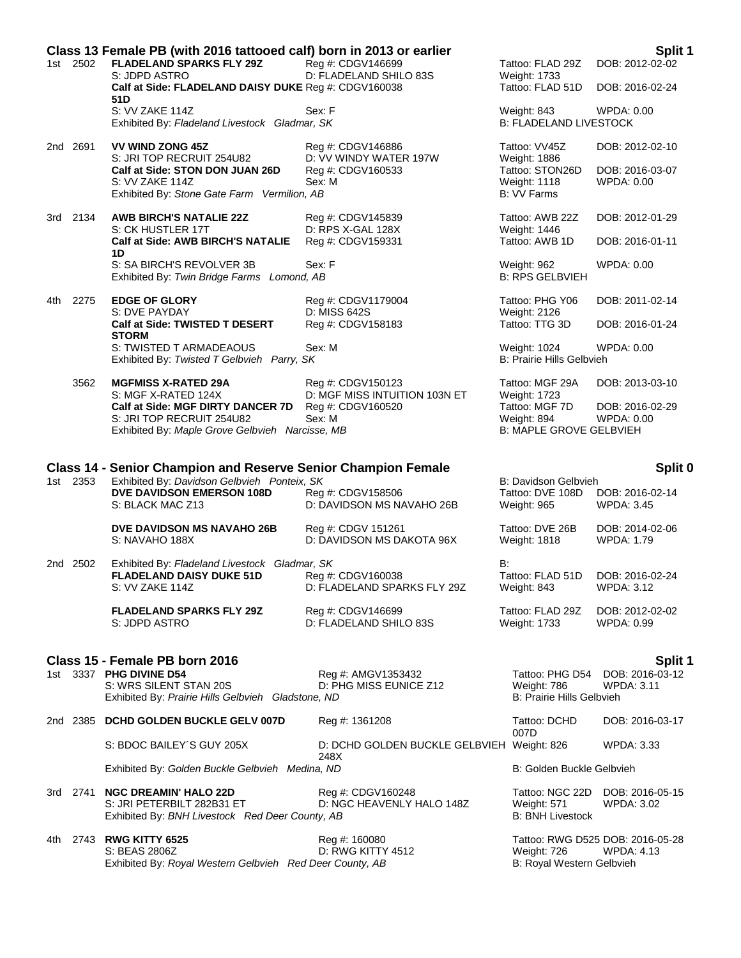|       | Class 13 Female PB (with 2016 tattooed calf) born in 2013 or earlier<br>Split 1 |                                                                                                                                           |                                                    |                                                                    |                                                 |  |  |
|-------|---------------------------------------------------------------------------------|-------------------------------------------------------------------------------------------------------------------------------------------|----------------------------------------------------|--------------------------------------------------------------------|-------------------------------------------------|--|--|
|       | 1st 2502                                                                        | <b>FLADELAND SPARKS FLY 29Z</b><br>S: JDPD ASTRO                                                                                          | Reg #: CDGV146699<br>D: FLADELAND SHILO 83S        | Tattoo: FLAD 29Z<br>Weight: 1733                                   | DOB: 2012-02-02                                 |  |  |
|       |                                                                                 | Calf at Side: FLADELAND DAISY DUKE Reg #: CDGV160038<br>51D                                                                               |                                                    | Tattoo: FLAD 51D                                                   | DOB: 2016-02-24                                 |  |  |
|       |                                                                                 | S: VV ZAKE 114Z<br>Exhibited By: Fladeland Livestock Gladmar, SK                                                                          | Sex: F                                             | Weight: 843<br><b>B: FLADELAND LIVESTOCK</b>                       | <b>WPDA: 0.00</b>                               |  |  |
|       | 2nd 2691                                                                        | <b>VV WIND ZONG 45Z</b><br>S: JRI TOP RECRUIT 254U82                                                                                      | Reg #: CDGV146886<br>D: VV WINDY WATER 197W        | Tattoo: VV45Z<br>Weight: 1886                                      | DOB: 2012-02-10                                 |  |  |
|       |                                                                                 | Calf at Side: STON DON JUAN 26D<br>S: VV ZAKE 114Z<br>Exhibited By: Stone Gate Farm Vermilion, AB                                         | Reg #: CDGV160533<br>Sex: M                        | Tattoo: STON26D<br>Weight: 1118<br>B: VV Farms                     | DOB: 2016-03-07<br>WPDA: 0.00                   |  |  |
|       | 3rd 2134                                                                        | <b>AWB BIRCH'S NATALIE 22Z</b><br>S: CK HUSTLER 17T                                                                                       | Reg #: CDGV145839<br>D: RPS X-GAL 128X             | Tattoo: AWB 22Z<br>Weight: 1446                                    | DOB: 2012-01-29                                 |  |  |
|       |                                                                                 | Calf at Side: AWB BIRCH'S NATALIE<br>1D                                                                                                   | Reg #: CDGV159331                                  | Tattoo: AWB 1D                                                     | DOB: 2016-01-11                                 |  |  |
|       |                                                                                 | S: SA BIRCH'S REVOLVER 3B<br>Exhibited By: Twin Bridge Farms Lomond, AB                                                                   | Sex: F                                             | Weight: 962<br><b>B: RPS GELBVIEH</b>                              | <b>WPDA: 0.00</b>                               |  |  |
| 4th - | 2275                                                                            | <b>EDGE OF GLORY</b><br>S: DVE PAYDAY                                                                                                     | Reg #: CDGV1179004<br>D: MISS 642S                 | Tattoo: PHG Y06<br>Weight: 2126                                    | DOB: 2011-02-14                                 |  |  |
|       |                                                                                 | Calf at Side: TWISTED T DESERT<br><b>STORM</b>                                                                                            | Reg #: CDGV158183                                  | Tattoo: TTG 3D                                                     | DOB: 2016-01-24                                 |  |  |
|       |                                                                                 | S: TWISTED T ARMADEAOUS<br>Exhibited By: Twisted T Gelbvieh Parry, SK                                                                     | Sex: M                                             | Weight: 1024<br>B: Prairie Hills Gelbvieh                          | WPDA: 0.00                                      |  |  |
|       | 3562                                                                            | <b>MGFMISS X-RATED 29A</b><br>S: MGF X-RATED 124X                                                                                         | Reg #: CDGV150123<br>D: MGF MISS INTUITION 103N ET | Tattoo: MGF 29A<br>Weight: 1723                                    | DOB: 2013-03-10                                 |  |  |
|       |                                                                                 | Calf at Side: MGF DIRTY DANCER 7D<br>S: JRI TOP RECRUIT 254U82<br>Exhibited By: Maple Grove Gelbvieh Narcisse, MB                         | Reg #: CDGV160520<br>Sex: M                        | Tattoo: MGF 7D<br>Weight: 894<br><b>B: MAPLE GROVE GELBVIEH</b>    | DOB: 2016-02-29<br>WPDA: 0.00                   |  |  |
|       |                                                                                 |                                                                                                                                           |                                                    |                                                                    |                                                 |  |  |
|       |                                                                                 | <b>Class 14 - Senior Champion and Reserve Senior Champion Female</b>                                                                      |                                                    |                                                                    | Split 0                                         |  |  |
|       | 1st 2353                                                                        | Exhibited By: Davidson Gelbvieh Ponteix, SK<br><b>DVE DAVIDSON EMERSON 108D</b><br>S: BLACK MAC Z13                                       | Reg #: CDGV158506<br>D: DAVIDSON MS NAVAHO 26B     | B: Davidson Gelbvieh<br>Tattoo: DVE 108D<br>Weight: 965            | DOB: 2016-02-14<br><b>WPDA: 3.45</b>            |  |  |
|       |                                                                                 | <b>DVE DAVIDSON MS NAVAHO 26B</b><br>S: NAVAHO 188X                                                                                       | Reg #: CDGV 151261<br>D: DAVIDSON MS DAKOTA 96X    | Tattoo: DVE 26B<br><b>Weight: 1818</b>                             | DOB: 2014-02-06<br><b>WPDA: 1.79</b>            |  |  |
|       | 2nd 2502                                                                        | Exhibited By: Fladeland Livestock Gladmar, SK                                                                                             |                                                    | B:                                                                 |                                                 |  |  |
|       |                                                                                 | <b>FLADELAND DAISY DUKE 51D</b><br>S: VV ZAKE 114Z                                                                                        | Reg #: CDGV160038<br>D: FLADELAND SPARKS FLY 29Z   | Tattoo: FLAD 51D<br>Weight: 843                                    | DOB: 2016-02-24<br><b>WPDA: 3.12</b>            |  |  |
|       |                                                                                 | <b>FLADELAND SPARKS FLY 29Z</b><br>S: JDPD ASTRO                                                                                          | Reg #: CDGV146699<br>D: FLADELAND SHILO 83S        | Tattoo: FLAD 29Z<br>Weight: 1733                                   | DOB: 2012-02-02<br>WPDA: 0.99                   |  |  |
|       |                                                                                 |                                                                                                                                           |                                                    |                                                                    |                                                 |  |  |
|       |                                                                                 | Class 15 - Female PB born 2016<br>1st 3337 PHG DIVINE D54<br>S: WRS SILENT STAN 20S<br>Exhibited By: Prairie Hills Gelbvieh Gladstone, ND | Reg #: AMGV1353432<br>D: PHG MISS EUNICE Z12       | Tattoo: PHG D54<br>Weight: 786<br><b>B: Prairie Hills Gelbvieh</b> | Split 1<br>DOB: 2016-03-12<br><b>WPDA: 3.11</b> |  |  |
|       |                                                                                 | 2nd 2385 DCHD GOLDEN BUCKLE GELV 007D                                                                                                     | Reg #: 1361208                                     | Tattoo: DCHD                                                       | DOB: 2016-03-17                                 |  |  |
|       |                                                                                 | S: BDOC BAILEY'S GUY 205X                                                                                                                 | D: DCHD GOLDEN BUCKLE GELBVIEH Weight: 826         | 007D                                                               | WPDA: 3.33                                      |  |  |
|       |                                                                                 | Exhibited By: Golden Buckle Gelbvieh Medina, ND                                                                                           | 248X                                               | B: Golden Buckle Gelbvieh                                          |                                                 |  |  |
|       |                                                                                 | 3rd 2741 NGC DREAMIN' HALO 22D<br>S: JRI PETERBILT 282B31 ET<br>Exhibited By: BNH Livestock Red Deer County, AB                           | Reg #: CDGV160248<br>D: NGC HEAVENLY HALO 148Z     | Tattoo: NGC 22D<br>Weight: 571<br><b>B: BNH Livestock</b>          | DOB: 2016-05-15<br>WPDA: 3.02                   |  |  |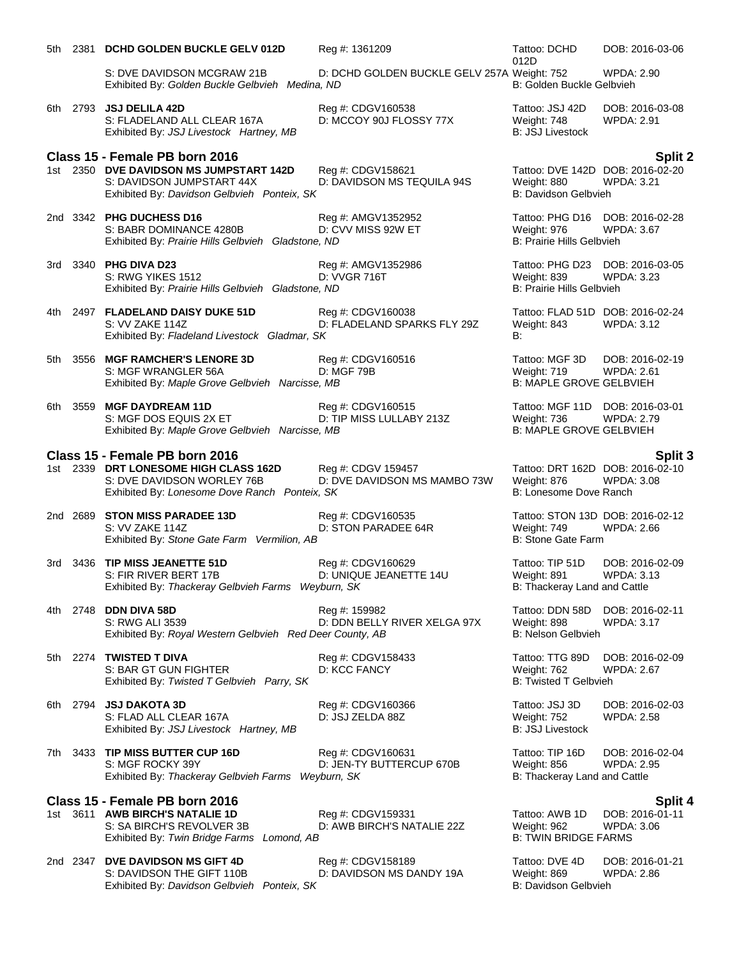|     | 5th 2381 DCHD GOLDEN BUCKLE GELV 012D                                                                                | Reg #: 1361209                                     | Tattoo: DCHD<br>012D                                                               | DOB: 2016-03-06                      |
|-----|----------------------------------------------------------------------------------------------------------------------|----------------------------------------------------|------------------------------------------------------------------------------------|--------------------------------------|
|     | S: DVE DAVIDSON MCGRAW 21B<br>Exhibited By: Golden Buckle Gelbvieh Medina, ND                                        | D: DCHD GOLDEN BUCKLE GELV 257A Weight: 752        | B: Golden Buckle Gelbvieh                                                          | <b>WPDA: 2.90</b>                    |
| 6th | 2793 <b>JSJ DELILA 42D</b><br>S: FLADELAND ALL CLEAR 167A<br>Exhibited By: JSJ Livestock Hartney, MB                 | Reg #: CDGV160538<br>D: MCCOY 90J FLOSSY 77X       | Tattoo: JSJ 42D<br>Weight: 748<br><b>B: JSJ Livestock</b>                          | DOB: 2016-03-08<br><b>WPDA: 2.91</b> |
|     | Class 15 - Female PB born 2016                                                                                       |                                                    |                                                                                    | Split 2                              |
|     | 1st 2350 DVE DAVIDSON MS JUMPSTART 142D<br>S: DAVIDSON JUMPSTART 44X<br>Exhibited By: Davidson Gelbvieh Ponteix, SK  | Reg #: CDGV158621<br>D: DAVIDSON MS TEQUILA 94S    | Tattoo: DVE 142D DOB: 2016-02-20<br>Weight: 880<br>B: Davidson Gelbvieh            | <b>WPDA: 3.21</b>                    |
|     | 2nd 3342 PHG DUCHESS D16<br>S: BABR DOMINANCE 4280B<br>Exhibited By: Prairie Hills Gelbvieh Gladstone, ND            | Reg #: AMGV1352952<br>D: CVV MISS 92W ET           | Tattoo: PHG D16 DOB: 2016-02-28<br>Weight: 976<br><b>B: Prairie Hills Gelbvieh</b> | WPDA: 3.67                           |
|     | 3rd 3340 PHG DIVA D23<br>S: RWG YIKES 1512<br>Exhibited By: Prairie Hills Gelbvieh Gladstone, ND                     | Reg #: AMGV1352986<br>D: VVGR 716T                 | Tattoo: PHG D23 DOB: 2016-03-05<br>Weight: 839<br>B: Prairie Hills Gelbvieh        | <b>WPDA: 3.23</b>                    |
|     | 4th 2497 FLADELAND DAISY DUKE 51D<br>S: VV ZAKE 114Z<br>Exhibited By: Fladeland Livestock Gladmar, SK                | Reg #: CDGV160038<br>D: FLADELAND SPARKS FLY 29Z   | Tattoo: FLAD 51D DOB: 2016-02-24<br>Weight: 843<br>B:                              | WPDA: 3.12                           |
|     | 5th 3556 MGF RAMCHER'S LENORE 3D<br>S: MGF WRANGLER 56A<br>Exhibited By: Maple Grove Gelbvieh Narcisse, MB           | Reg #: CDGV160516<br>D: MGF 79B                    | Tattoo: MGF 3D<br>Weight: 719<br><b>B: MAPLE GROVE GELBVIEH</b>                    | DOB: 2016-02-19<br>WPDA: 2.61        |
| 6th | 3559 MGF DAYDREAM 11D<br>S: MGF DOS EQUIS 2X ET<br>Exhibited By: Maple Grove Gelbvieh Narcisse, MB                   | Reg #: CDGV160515<br>D: TIP MISS LULLABY 213Z      | Tattoo: MGF 11D DOB: 2016-03-01<br>Weight: 736<br><b>B: MAPLE GROVE GELBVIEH</b>   | <b>WPDA: 2.79</b>                    |
|     | Class 15 - Female PB born 2016                                                                                       |                                                    |                                                                                    | Split 3                              |
|     | 1st 2339 DRT LONESOME HIGH CLASS 162D<br>S: DVE DAVIDSON WORLEY 76B<br>Exhibited By: Lonesome Dove Ranch Ponteix, SK | Reg #: CDGV 159457<br>D: DVE DAVIDSON MS MAMBO 73W | Tattoo: DRT 162D DOB: 2016-02-10<br>Weight: 876<br>B: Lonesome Dove Ranch          | <b>WPDA: 3.08</b>                    |
|     | 2nd 2689 STON MISS PARADEE 13D<br>S: VV ZAKE 114Z<br>Exhibited By: Stone Gate Farm Vermilion, AB                     | Reg #: CDGV160535<br>D: STON PARADEE 64R           | Tattoo: STON 13D DOB: 2016-02-12<br>Weight: 749<br>B: Stone Gate Farm              | WPDA: 2.66                           |
| 3rd | 3436 TIP MISS JEANETTE 51D<br>S: FIR RIVER BERT 17B<br>Exhibited By: Thackeray Gelbvieh Farms Weyburn, SK            | Reg #: CDGV160629<br>D: UNIQUE JEANETTE 14U        | Tattoo: TIP 51D<br>Weight: 891<br>B: Thackeray Land and Cattle                     | DOB: 2016-02-09<br>WPDA: 3.13        |
| 4th | 2748 DDN DIVA 58D<br>S: RWG ALI 3539<br>Exhibited By: Royal Western Gelbvieh Red Deer County, AB                     | Reg #: 159982<br>D: DDN BELLY RIVER XELGA 97X      | Tattoo: DDN 58D<br>Weight: 898<br>B: Nelson Gelbvieh                               | DOB: 2016-02-11<br>WPDA: 3.17        |
| 5th | 2274 TWISTED T DIVA<br>S: BAR GT GUN FIGHTER<br>Exhibited By: Twisted T Gelbvieh Parry, SK                           | Reg #: CDGV158433<br>D: KCC FANCY                  | Tattoo: TTG 89D<br>Weight: 762<br><b>B: Twisted T Gelbvieh</b>                     | DOB: 2016-02-09<br>WPDA: 2.67        |
| 6th | 2794 JSJ DAKOTA 3D<br>S: FLAD ALL CLEAR 167A<br>Exhibited By: JSJ Livestock Hartney, MB                              | Reg #: CDGV160366<br>D: JSJ ZELDA 88Z              | Tattoo: JSJ 3D<br>Weight: 752<br><b>B: JSJ Livestock</b>                           | DOB: 2016-02-03<br><b>WPDA: 2.58</b> |
| 7th | 3433 TIP MISS BUTTER CUP 16D<br>S: MGF ROCKY 39Y<br>Exhibited By: Thackeray Gelbvieh Farms Weyburn, SK               | Reg #: CDGV160631<br>D: JEN-TY BUTTERCUP 670B      | Tattoo: TIP 16D<br>Weight: 856<br>B: Thackeray Land and Cattle                     | DOB: 2016-02-04<br><b>WPDA: 2.95</b> |
|     | Class 15 - Female PB born 2016                                                                                       |                                                    |                                                                                    | Split 4                              |
|     | 1st 3611 AWB BIRCH'S NATALIE 1D<br>S: SA BIRCH'S REVOLVER 3B<br>Exhibited By: Twin Bridge Farms Lomond, AB           | Reg #: CDGV159331<br>D: AWB BIRCH'S NATALIE 22Z    | Tattoo: AWB 1D<br>Weight: 962<br><b>B: TWIN BRIDGE FARMS</b>                       | DOB: 2016-01-11<br><b>WPDA: 3.06</b> |
|     | 2nd 2347 DVE DAVIDSON MS GIFT 4D<br>S: DAVIDSON THE GIFT 110B<br>Exhibited By: Davidson Gelbvieh Ponteix, SK         | Reg #: CDGV158189<br>D: DAVIDSON MS DANDY 19A      | Tattoo: DVE 4D<br>Weight: 869<br>B: Davidson Gelbvieh                              | DOB: 2016-01-21<br><b>WPDA: 2.86</b> |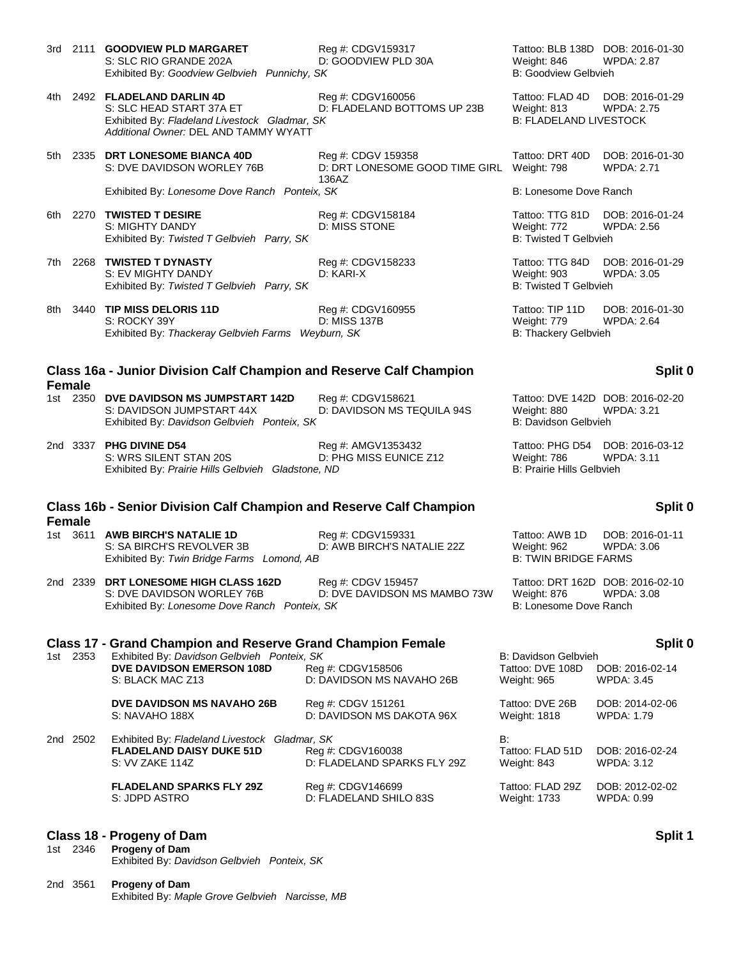|               | 3rd 2111 GOODVIEW PLD MARGARET<br>S: SLC RIO GRANDE 202A<br>Exhibited By: Goodview Gelbvieh Punnichy, SK                                           | Reg #: CDGV159317<br>D: GOODVIEW PLD 30A                      | Weight: 846<br>B: Goodview Gelbvieh                             | Tattoo: BLB 138D DOB: 2016-01-30<br>WPDA: 2.87        |
|---------------|----------------------------------------------------------------------------------------------------------------------------------------------------|---------------------------------------------------------------|-----------------------------------------------------------------|-------------------------------------------------------|
|               | 4th 2492 FLADELAND DARLIN 4D<br>S: SLC HEAD START 37A ET<br>Exhibited By: Fladeland Livestock Gladmar, SK<br>Additional Owner: DEL AND TAMMY WYATT | Reg #: CDGV160056<br>D: FLADELAND BOTTOMS UP 23B              | Tattoo: FLAD 4D<br>Weight: 813<br><b>B: FLADELAND LIVESTOCK</b> | DOB: 2016-01-29<br><b>WPDA: 2.75</b>                  |
|               | 5th 2335 DRT LONESOME BIANCA 40D<br>S: DVE DAVIDSON WORLEY 76B                                                                                     | Reg #: CDGV 159358<br>D: DRT LONESOME GOOD TIME GIRL<br>136AZ | Tattoo: DRT 40D<br>Weight: 798                                  | DOB: 2016-01-30<br><b>WPDA: 2.71</b>                  |
|               | Exhibited By: Lonesome Dove Ranch Ponteix, SK                                                                                                      |                                                               | B: Lonesome Dove Ranch                                          |                                                       |
| 6th.          | 2270 TWISTED T DESIRE<br>S: MIGHTY DANDY<br>Exhibited By: Twisted T Gelbvieh Parry, SK                                                             | Reg #: CDGV158184<br>D: MISS STONE                            | Weight: 772<br><b>B: Twisted T Gelbvieh</b>                     | Tattoo: TTG 81D DOB: 2016-01-24<br><b>WPDA: 2.56</b>  |
| 7th           | 2268 TWISTED T DYNASTY<br>S: EV MIGHTY DANDY<br>Exhibited By: Twisted T Gelbvieh Parry, SK                                                         | Reg #: CDGV158233<br>D: KARI-X                                | Tattoo: TTG 84D<br>Weight: 903<br><b>B: Twisted T Gelbvieh</b>  | DOB: 2016-01-29<br><b>WPDA: 3.05</b>                  |
| 8th           | 3440 TIP MISS DELORIS 11D<br>S: ROCKY 39Y<br>Exhibited By: Thackeray Gelbvieh Farms                                                                | Reg #: CDGV160955<br>D: MISS 137B<br>Weyburn, SK              | Tattoo: TIP 11D<br>Weight: 779<br>B: Thackery Gelbvieh          | DOB: 2016-01-30<br><b>WPDA: 2.64</b>                  |
| <b>Female</b> | Class 16a - Junior Division Calf Champion and Reserve Calf Champion                                                                                |                                                               |                                                                 | Split 0                                               |
|               | 1st 2350 DVE DAVIDSON MS JUMPSTART 142D<br>S: DAVIDSON JUMPSTART 44X<br>Exhibited By: Davidson Gelbvieh Ponteix, SK                                | Reg #: CDGV158621<br>D: DAVIDSON MS TEQUILA 94S               | Weight: 880<br>B: Davidson Gelbvieh                             | Tattoo: DVE 142D DOB: 2016-02-20<br><b>WPDA: 3.21</b> |
|               | 2nd 3337 PHG DIVINE D54<br>S: WRS SILENT STAN 20S<br>Exhibited By: Prairie Hills Gelbvieh Gladstone, ND                                            | Reg #: AMGV1353432<br>D: PHG MISS EUNICE Z12                  | Weight: 786<br>B: Prairie Hills Gelbvieh                        | Tattoo: PHG D54 DOB: 2016-03-12<br><b>WPDA: 3.11</b>  |
|               |                                                                                                                                                    |                                                               |                                                                 | Split 0                                               |
|               | Class 16b - Senior Division Calf Champion and Reserve Calf Champion                                                                                |                                                               |                                                                 |                                                       |
| <b>Female</b> | 1st 3611 AWB BIRCH'S NATALIE 1D<br>S: SA BIRCH'S REVOLVER 3B<br>Exhibited By: Twin Bridge Farms Lomond, AB                                         | Reg #: CDGV159331<br>D: AWB BIRCH'S NATALIE 22Z               | Tattoo: AWB 1D<br>Weight: 962<br><b>B: TWIN BRIDGE FARMS</b>    | DOB: 2016-01-11<br><b>WPDA: 3.06</b>                  |
|               | 2nd 2339 DRT LONESOME HIGH CLASS 162D<br>S: DVE DAVIDSON WORLEY 76B<br>Exhibited By: Lonesome Dove Ranch Ponteix, SK                               | Reg #: CDGV 159457<br>D: DVE DAVIDSON MS MAMBO 73W            | Weight: 876<br>B: Lonesome Dove Ranch                           | Tattoo: DRT 162D DOB: 2016-02-10<br>WPDA: 3.08        |
|               | <b>Class 17 - Grand Champion and Reserve Grand Champion Female</b>                                                                                 |                                                               |                                                                 | Split 0                                               |
| 1st 2353      | Exhibited By: Davidson Gelbvieh Ponteix, SK<br><b>DVE DAVIDSON EMERSON 108D</b><br>S: BLACK MAC Z13                                                | Reg #: CDGV158506<br>D: DAVIDSON MS NAVAHO 26B                | B: Davidson Gelbvieh<br>Tattoo: DVE 108D<br>Weight: 965         | DOB: 2016-02-14<br><b>WPDA: 3.45</b>                  |
|               | <b>DVE DAVIDSON MS NAVAHO 26B</b><br>S: NAVAHO 188X                                                                                                | Reg #: CDGV 151261<br>D: DAVIDSON MS DAKOTA 96X               | Tattoo: DVE 26B<br>Weight: 1818                                 | DOB: 2014-02-06<br>WPDA: 1.79                         |
| 2nd 2502      | Exhibited By: Fladeland Livestock Gladmar, SK<br><b>FLADELAND DAISY DUKE 51D</b><br>S: VV ZAKE 114Z                                                | Reg #: CDGV160038<br>D: FLADELAND SPARKS FLY 29Z              | B:<br>Tattoo: FLAD 51D<br>Weight: 843                           | DOB: 2016-02-24<br>WPDA: 3.12                         |
|               | <b>FLADELAND SPARKS FLY 29Z</b><br>S: JDPD ASTRO                                                                                                   | Reg #: CDGV146699<br>D: FLADELAND SHILO 83S                   | Tattoo: FLAD 29Z<br>Weight: 1733                                | DOB: 2012-02-02<br>WPDA: 0.99                         |
| 1st 2346      | Class 18 - Progeny of Dam<br>Progeny of Dam<br>Exhibited By: Davidson Gelbvieh Ponteix, SK                                                         |                                                               |                                                                 | Split 1                                               |

Exhibited By: *Maple Grove Gelbvieh Narcisse, MB*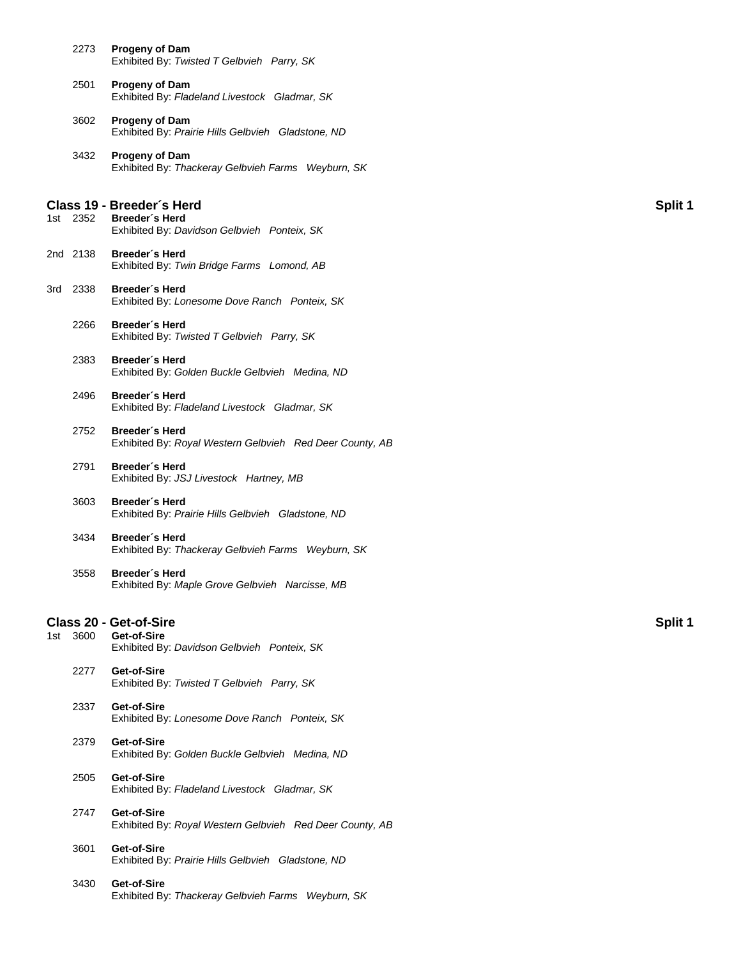|     | 2273     | <b>Progeny of Dam</b><br>Exhibited By: Twisted T Gelbvieh Parry, SK                         |         |
|-----|----------|---------------------------------------------------------------------------------------------|---------|
|     | 2501     | <b>Progeny of Dam</b><br>Exhibited By: Fladeland Livestock Gladmar, SK                      |         |
|     | 3602     | <b>Progeny of Dam</b><br>Exhibited By: Prairie Hills Gelbvieh Gladstone, ND                 |         |
|     | 3432     | <b>Progeny of Dam</b><br>Exhibited By: Thackeray Gelbvieh Farms Weyburn, SK                 |         |
|     | 1st 2352 | Class 19 - Breeder's Herd<br>Breeder's Herd<br>Exhibited By: Davidson Gelbvieh Ponteix, SK  | Split 1 |
|     | 2nd 2138 | Breeder's Herd<br>Exhibited By: Twin Bridge Farms Lomond, AB                                |         |
| 3rd | 2338     | Breeder's Herd<br>Exhibited By: Lonesome Dove Ranch Ponteix, SK                             |         |
|     | 2266     | Breeder's Herd<br>Exhibited By: Twisted T Gelbvieh Parry, SK                                |         |
|     | 2383     | Breeder's Herd<br>Exhibited By: Golden Buckle Gelbvieh Medina, ND                           |         |
|     | 2496     | Breeder's Herd<br>Exhibited By: Fladeland Livestock Gladmar, SK                             |         |
|     | 2752     | Breeder's Herd<br>Exhibited By: Royal Western Gelbvieh Red Deer County, AB                  |         |
|     | 2791     | Breeder's Herd<br>Exhibited By: JSJ Livestock Hartney, MB                                   |         |
|     | 3603     | Breeder's Herd<br>Exhibited By: Prairie Hills Gelbvieh Gladstone, ND                        |         |
|     | 3434     | Breeder's Herd<br>Exhibited By: Thackeray Gelbvieh Farms Weyburn, SK                        |         |
|     | 3558     | Breeder's Herd<br>Exhibited By: Maple Grove Gelbvieh Narcisse, MB                           |         |
|     | 1st 3600 | <b>Class 20 - Get-of-Sire</b><br>Get-of-Sire<br>Exhibited By: Davidson Gelbvieh Ponteix, SK | Split 1 |
|     | 2277     | Get-of-Sire<br>Exhibited By: Twisted T Gelbvieh Parry, SK                                   |         |
|     | 2337     | Get-of-Sire<br>Exhibited By: Lonesome Dove Ranch Ponteix, SK                                |         |
|     | 2379     | Get-of-Sire<br>Exhibited By: Golden Buckle Gelbvieh Medina, ND                              |         |
|     | 2505     | Get-of-Sire<br>Exhibited By: Fladeland Livestock Gladmar, SK                                |         |
|     | 2747     | Get-of-Sire<br>Exhibited By: Royal Western Gelbvieh Red Deer County, AB                     |         |
|     | 3601     | Get-of-Sire<br>Exhibited By: Prairie Hills Gelbvieh Gladstone, ND                           |         |
|     | 3430     | Get-of-Sire<br>Exhibited By: Thackeray Gelbvieh Farms Weyburn, SK                           |         |
|     |          |                                                                                             |         |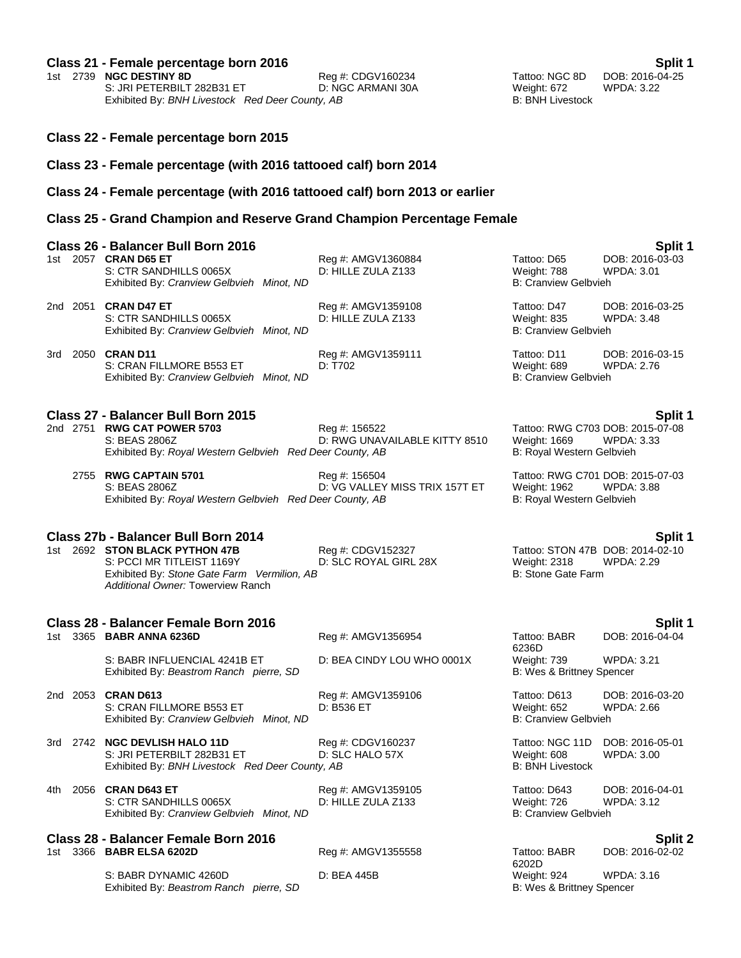# **Class 21 - Female percentage born 2016 Split 1**

1st 2739 **NGC DESTINY 8D**<br>
1st 2739 **NGC DESTINY 8D** Reg #: CDGV160234 Tattoo: NGC 8D DOB: 2016-0<br>
19 D: NGC ARMANI 30A Weight: 672 WPDA: 3.22 S: JRI PETERBILT 282B31 ET 
D: NGC ARMANI 30A

D: NGC ARMANI 30A

B: BNH Livestock

By: BNH Livestock

BUC ARMANI 30A

D: NGC ARMANI 30A

D: D: BNH Livestock

D: NGC ARMANI 30A

D: D: BNH Livestock

D: NGC ARMANI 30A

B: B Exhibited By: BNH Livestock Red Deer County, AB

- **Class 22 - Female percentage born 2015**
- **Class 23 - Female percentage (with 2016 tattooed calf) born 2014**
- **Class 24 - Female percentage (with 2016 tattooed calf) born 2013 or earlier**
- **Class 25 - Grand Champion and Reserve Grand Champion Percentage Female**

|     | Class 26 - Balancer Bull Born 2016                                                                                                              |                                                 |                                                            | Split 1                                                   |
|-----|-------------------------------------------------------------------------------------------------------------------------------------------------|-------------------------------------------------|------------------------------------------------------------|-----------------------------------------------------------|
|     | 1st 2057 <b>CRAN D65 ET</b><br>S: CTR SANDHILLS 0065X<br>Exhibited By: Cranview Gelbvieh Minot, ND                                              | Reg #: AMGV1360884<br>D: HILLE ZULA Z133        | Tattoo: D65<br>Weight: 788<br><b>B: Cranview Gelbvieh</b>  | DOB: 2016-03-03<br><b>WPDA: 3.01</b>                      |
|     | 2nd 2051 CRAN D47 ET<br>S: CTR SANDHILLS 0065X<br>Exhibited By: Cranview Gelbvieh Minot, ND                                                     | Reg #: AMGV1359108<br>D: HILLE ZULA Z133        | Tattoo: D47<br>Weight: 835<br><b>B: Cranview Gelbvieh</b>  | DOB: 2016-03-25<br><b>WPDA: 3.48</b>                      |
|     | 3rd 2050 <b>CRAN D11</b><br>S: CRAN FILLMORE B553 ET<br>Exhibited By: Cranview Gelbvieh Minot, ND                                               | Reg #: AMGV1359111<br>D: T702                   | Tattoo: D11<br>Weight: 689<br><b>B: Cranview Gelbvieh</b>  | DOB: 2016-03-15<br>WPDA: 2.76                             |
|     | Class 27 - Balancer Bull Born 2015<br>2nd 2751 RWG CAT POWER 5703<br>S: BEAS 2806Z<br>Exhibited By: Royal Western Gelbvieh Red Deer County, AB  | Reg #: 156522<br>D: RWG UNAVAILABLE KITTY 8510  | Weight: 1669<br>B: Royal Western Gelbvieh                  | Split 1<br>Tattoo: RWG C703 DOB: 2015-07-08<br>WPDA: 3.33 |
|     | 2755 RWG CAPTAIN 5701<br>S: BEAS 2806Z<br>Exhibited By: Royal Western Gelbvieh Red Deer County, AB                                              | Reg #: 156504<br>D: VG VALLEY MISS TRIX 157T ET | Weight: 1962<br>B: Royal Western Gelbvieh                  | Tattoo: RWG C701 DOB: 2015-07-03<br><b>WPDA: 3.88</b>     |
|     | Class 27b - Balancer Bull Born 2014                                                                                                             |                                                 |                                                            | Split 1                                                   |
|     | 1st 2692 STON BLACK PYTHON 47B<br>S: PCCI MR TITLEIST 1169Y<br>Exhibited By: Stone Gate Farm Vermilion, AB<br>Additional Owner: Towerview Ranch | Reg #: CDGV152327<br>D: SLC ROYAL GIRL 28X      | <b>Weight: 2318</b><br>B: Stone Gate Farm                  | Tattoo: STON 47B DOB: 2014-02-10<br>WPDA: 2.29            |
|     | Class 28 - Balancer Female Born 2016                                                                                                            |                                                 |                                                            | Split 1                                                   |
|     | 1st 3365 <b>BABR ANNA 6236D</b>                                                                                                                 | Reg #: AMGV1356954                              | Tattoo: BABR<br>6236D                                      | DOB: 2016-04-04                                           |
|     | S: BABR INFLUENCIAL 4241B ET<br>Exhibited By: Beastrom Ranch pierre, SD                                                                         | D: BEA CINDY LOU WHO 0001X                      | Weight: 739<br>B: Wes & Brittney Spencer                   | <b>WPDA: 3.21</b>                                         |
|     | 2nd 2053 CRAN D613<br>S: CRAN FILLMORE B553 ET<br>Exhibited By: Cranview Gelbvieh Minot, ND                                                     | Reg #: AMGV1359106<br>D: B536 ET                | Tattoo: D613<br>Weight: 652<br><b>B: Cranview Gelbvieh</b> | DOB: 2016-03-20<br><b>WPDA: 2.66</b>                      |
|     | 3rd 2742 NGC DEVLISH HALO 11D<br>S: JRI PETERBILT 282B31 ET<br>Exhibited By: BNH Livestock Red Deer County, AB                                  | Reg #: CDGV160237<br>D: SLC HALO 57X            | Tattoo: NGC 11D<br>Weight: 608<br><b>B: BNH Livestock</b>  | DOB: 2016-05-01<br><b>WPDA: 3.00</b>                      |
| 4th | 2056 CRAN D643 ET<br>S: CTR SANDHILLS 0065X<br>Exhibited By: Cranview Gelbvieh Minot, ND                                                        | Reg #: AMGV1359105<br>D: HILLE ZULA Z133        | Tattoo: D643<br>Weight: 726<br><b>B: Cranview Gelbvieh</b> | DOB: 2016-04-01<br><b>WPDA: 3.12</b>                      |
|     | Class 28 - Balancer Female Born 2016                                                                                                            |                                                 |                                                            | Split 2                                                   |
|     | 1st 3366 BABR ELSA 6202D                                                                                                                        | Reg #: AMGV1355558                              | Tattoo: BABR<br>6202D                                      | DOB: 2016-02-02                                           |
|     | S: BABR DYNAMIC 4260D<br>Exhibited By: Beastrom Ranch pierre, SD                                                                                | D: BEA 445B                                     | Weight: 924<br>B: Wes & Brittney Spencer                   | <b>WPDA: 3.16</b>                                         |